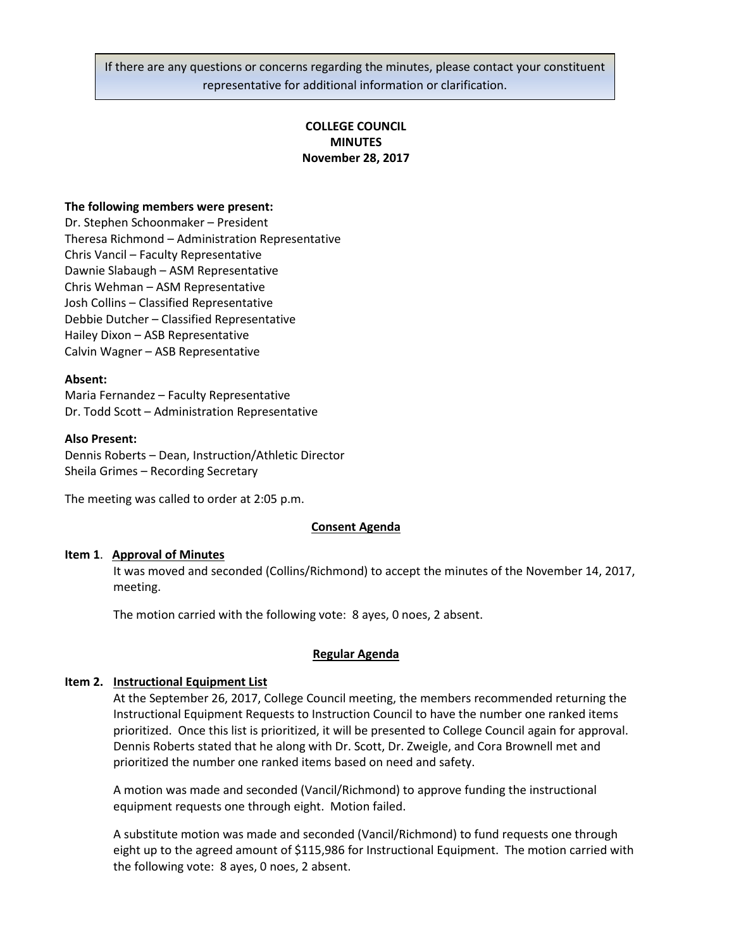If there are any questions or concerns regarding the minutes, please contact your constituent representative for additional information or clarification.

# **COLLEGE COUNCIL MINUTES November 28, 2017**

### **The following members were present:**

Dr. Stephen Schoonmaker – President Theresa Richmond – Administration Representative Chris Vancil – Faculty Representative Dawnie Slabaugh – ASM Representative Chris Wehman – ASM Representative Josh Collins – Classified Representative Debbie Dutcher – Classified Representative Hailey Dixon – ASB Representative Calvin Wagner – ASB Representative

### **Absent:**

Maria Fernandez – Faculty Representative Dr. Todd Scott – Administration Representative

### **Also Present:**

Dennis Roberts – Dean, Instruction/Athletic Director Sheila Grimes – Recording Secretary

The meeting was called to order at 2:05 p.m.

## **Consent Agenda**

### **Item 1**. **Approval of Minutes**

It was moved and seconded (Collins/Richmond) to accept the minutes of the November 14, 2017, meeting.

The motion carried with the following vote: 8 ayes, 0 noes, 2 absent.

### **Regular Agenda**

### **Item 2. Instructional Equipment List**

At the September 26, 2017, College Council meeting, the members recommended returning the Instructional Equipment Requests to Instruction Council to have the number one ranked items prioritized. Once this list is prioritized, it will be presented to College Council again for approval. Dennis Roberts stated that he along with Dr. Scott, Dr. Zweigle, and Cora Brownell met and prioritized the number one ranked items based on need and safety.

A motion was made and seconded (Vancil/Richmond) to approve funding the instructional equipment requests one through eight. Motion failed.

A substitute motion was made and seconded (Vancil/Richmond) to fund requests one through eight up to the agreed amount of \$115,986 for Instructional Equipment. The motion carried with the following vote: 8 ayes, 0 noes, 2 absent.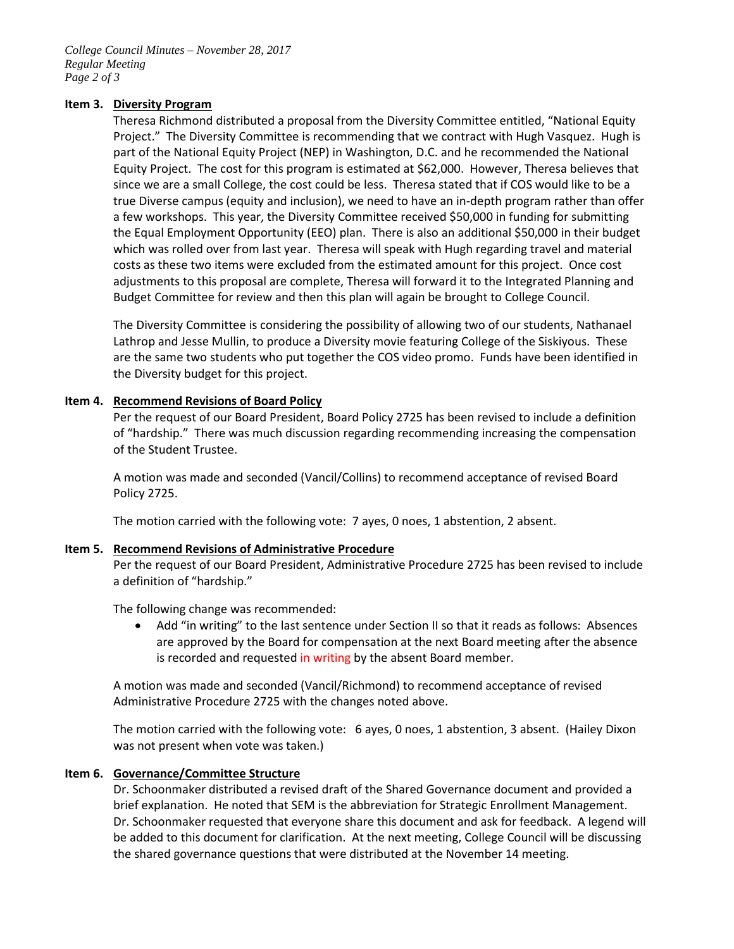*College Council Minutes – November 28, 2017 Regular Meeting Page 2 of 3*

# **Item 3. Diversity Program**

Theresa Richmond distributed a proposal from the Diversity Committee entitled, "National Equity Project." The Diversity Committee is recommending that we contract with Hugh Vasquez. Hugh is part of the National Equity Project (NEP) in Washington, D.C. and he recommended the National Equity Project. The cost for this program is estimated at \$62,000. However, Theresa believes that since we are a small College, the cost could be less. Theresa stated that if COS would like to be a true Diverse campus (equity and inclusion), we need to have an in-depth program rather than offer a few workshops. This year, the Diversity Committee received \$50,000 in funding for submitting the Equal Employment Opportunity (EEO) plan. There is also an additional \$50,000 in their budget which was rolled over from last year. Theresa will speak with Hugh regarding travel and material costs as these two items were excluded from the estimated amount for this project. Once cost adjustments to this proposal are complete, Theresa will forward it to the Integrated Planning and Budget Committee for review and then this plan will again be brought to College Council.

The Diversity Committee is considering the possibility of allowing two of our students, Nathanael Lathrop and Jesse Mullin, to produce a Diversity movie featuring College of the Siskiyous. These are the same two students who put together the COS video promo. Funds have been identified in the Diversity budget for this project.

## **Item 4. Recommend Revisions of Board Policy**

Per the request of our Board President, Board Policy 2725 has been revised to include a definition of "hardship." There was much discussion regarding recommending increasing the compensation of the Student Trustee.

A motion was made and seconded (Vancil/Collins) to recommend acceptance of revised Board Policy 2725.

The motion carried with the following vote: 7 ayes, 0 noes, 1 abstention, 2 absent.

### **Item 5. Recommend Revisions of Administrative Procedure**

Per the request of our Board President, Administrative Procedure 2725 has been revised to include a definition of "hardship."

The following change was recommended:

• Add "in writing" to the last sentence under Section II so that it reads as follows: Absences are approved by the Board for compensation at the next Board meeting after the absence is recorded and requested in writing by the absent Board member.

A motion was made and seconded (Vancil/Richmond) to recommend acceptance of revised Administrative Procedure 2725 with the changes noted above.

The motion carried with the following vote: 6 ayes, 0 noes, 1 abstention, 3 absent. (Hailey Dixon was not present when vote was taken.)

## **Item 6. Governance/Committee Structure**

Dr. Schoonmaker distributed a revised draft of the Shared Governance document and provided a brief explanation. He noted that SEM is the abbreviation for Strategic Enrollment Management. Dr. Schoonmaker requested that everyone share this document and ask for feedback. A legend will be added to this document for clarification. At the next meeting, College Council will be discussing the shared governance questions that were distributed at the November 14 meeting.